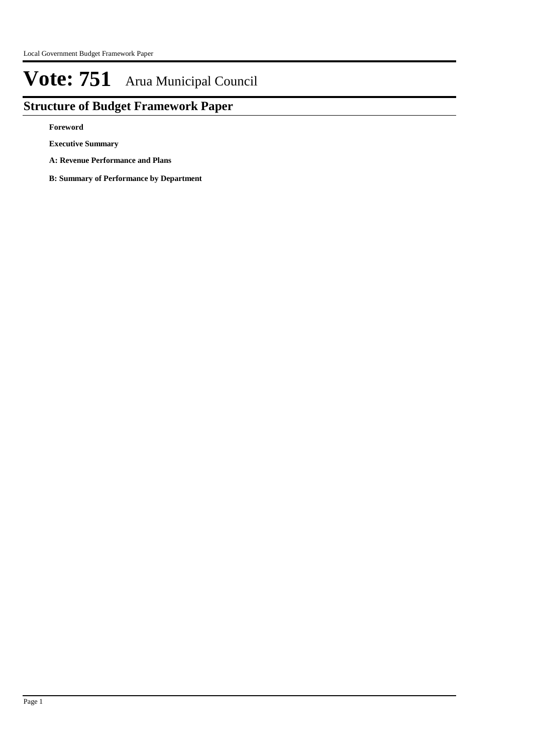## **Structure of Budget Framework Paper**

**Foreword**

**Executive Summary**

**A: Revenue Performance and Plans**

**B: Summary of Performance by Department**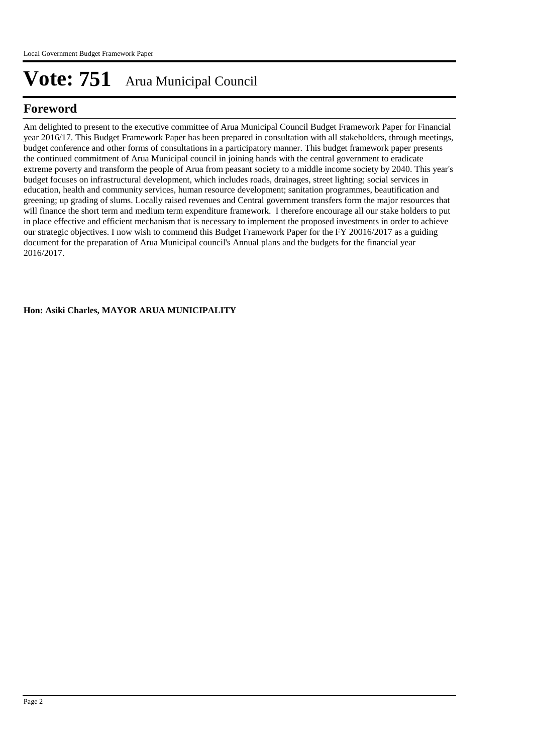## **Foreword**

Am delighted to present to the executive committee of Arua Municipal Council Budget Framework Paper for Financial year 2016/17. This Budget Framework Paper has been prepared in consultation with all stakeholders, through meetings, budget conference and other forms of consultations in a participatory manner. This budget framework paper presents the continued commitment of Arua Municipal council in joining hands with the central government to eradicate extreme poverty and transform the people of Arua from peasant society to a middle income society by 2040. This year's budget focuses on infrastructural development, which includes roads, drainages, street lighting; social services in education, health and community services, human resource development; sanitation programmes, beautification and greening; up grading of slums. Locally raised revenues and Central government transfers form the major resources that will finance the short term and medium term expenditure framework. I therefore encourage all our stake holders to put in place effective and efficient mechanism that is necessary to implement the proposed investments in order to achieve our strategic objectives. I now wish to commend this Budget Framework Paper for the FY 20016/2017 as a guiding document for the preparation of Arua Municipal council's Annual plans and the budgets for the financial year 2016/2017.

**Hon: Asiki Charles, MAYOR ARUA MUNICIPALITY**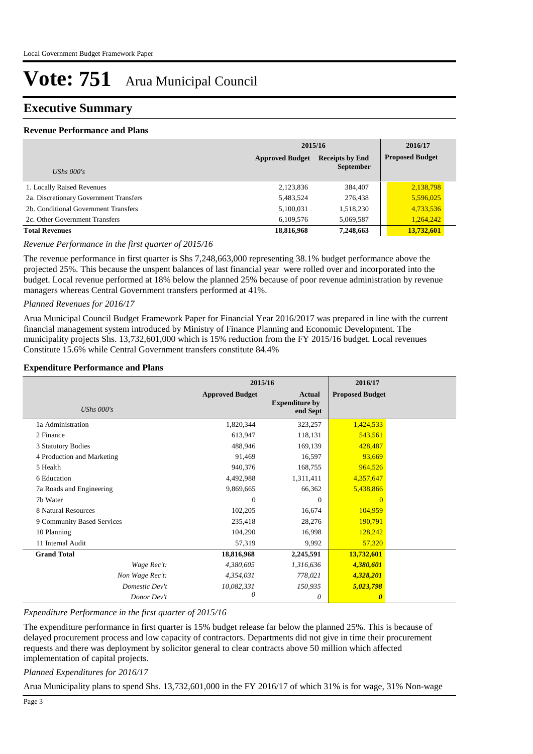### **Executive Summary**

#### **Revenue Performance and Plans**

|                                        | 2015/16                | 2016/17                                    |                        |
|----------------------------------------|------------------------|--------------------------------------------|------------------------|
| UShs $000's$                           | <b>Approved Budget</b> | <b>Receipts by End</b><br><b>September</b> | <b>Proposed Budget</b> |
| 1. Locally Raised Revenues             | 2,123,836              | 384,407                                    | 2,138,798              |
| 2a. Discretionary Government Transfers | 5,483,524              | 276,438                                    | 5,596,025              |
| 2b. Conditional Government Transfers   | 5,100,031              | 1,518,230                                  | 4,733,536              |
| 2c. Other Government Transfers         | 6,109,576              | 5,069,587                                  | 1,264,242              |
| <b>Total Revenues</b>                  | 18,816,968             | 7,248,663                                  | 13.732.601             |

*Revenue Performance in the first quarter of 2015/16*

The revenue performance in first quarter is Shs 7,248,663,000 representing 38.1% budget performance above the projected 25%. This because the unspent balances of last financial year were rolled over and incorporated into the budget. Local revenue performed at 18% below the planned 25% because of poor revenue administration by revenue managers whereas Central Government transfers performed at 41%.

#### *Planned Revenues for 2016/17*

Arua Municipal Council Budget Framework Paper for Financial Year 2016/2017 was prepared in line with the current financial management system introduced by Ministry of Finance Planning and Economic Development. The municipality projects Shs. 13,732,601,000 which is 15% reduction from the FY 2015/16 budget. Local revenues Constitute 15.6% while Central Government transfers constitute 84.4%

#### **Expenditure Performance and Plans**

|                            | 2015/16                |                                                    | 2016/17                |  |
|----------------------------|------------------------|----------------------------------------------------|------------------------|--|
| UShs $000's$               | <b>Approved Budget</b> | <b>Actual</b><br><b>Expenditure by</b><br>end Sept | <b>Proposed Budget</b> |  |
| 1a Administration          | 1,820,344              | 323,257                                            | 1,424,533              |  |
| 2 Finance                  | 613,947                | 118,131                                            | 543,561                |  |
| 3 Statutory Bodies         | 488,946                | 169,139                                            | 428,487                |  |
| 4 Production and Marketing | 91,469                 | 16,597                                             | 93,669                 |  |
| 5 Health                   | 940,376                | 168,755                                            | 964,526                |  |
| 6 Education                | 4,492,988              | 1,311,411                                          | 4,357,647              |  |
| 7a Roads and Engineering   | 9,869,665              | 66,362                                             | 5,438,866              |  |
| 7b Water                   | $\theta$               | $\Omega$                                           | $\overline{0}$         |  |
| 8 Natural Resources        | 102,205                | 16,674                                             | 104,959                |  |
| 9 Community Based Services | 235,418                | 28,276                                             | 190,791                |  |
| 10 Planning                | 104,290                | 16,998                                             | 128,242                |  |
| 11 Internal Audit          | 57,319                 | 9,992                                              | 57,320                 |  |
| <b>Grand Total</b>         | 18,816,968             | 2,245,591                                          | 13,732,601             |  |
| Wage Rec't:                | 4,380,605              | 1,316,636                                          | 4,380,601              |  |
| Non Wage Rec't:            | 4,354,031              | 778,021                                            | 4,328,201              |  |
| Domestic Dev't             | 10,082,331             | 150,935                                            | 5,023,798              |  |
| Donor Dev't                | 0                      | 0                                                  | $\boldsymbol{\theta}$  |  |

#### *Expenditure Performance in the first quarter of 2015/16*

The expenditure performance in first quarter is 15% budget release far below the planned 25%. This is because of delayed procurement process and low capacity of contractors. Departments did not give in time their procurement requests and there was deployment by solicitor general to clear contracts above 50 million which affected implementation of capital projects.

#### *Planned Expenditures for 2016/17*

Arua Municipality plans to spend Shs. 13,732,601,000 in the FY 2016/17 of which 31% is for wage, 31% Non-wage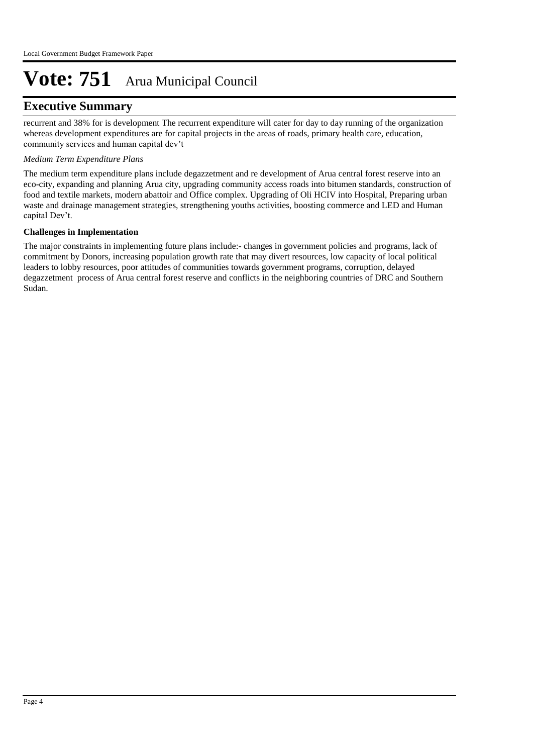### **Executive Summary**

recurrent and 38% for is development The recurrent expenditure will cater for day to day running of the organization whereas development expenditures are for capital projects in the areas of roads, primary health care, education, community services and human capital dev't

#### *Medium Term Expenditure Plans*

The medium term expenditure plans include degazzetment and re development of Arua central forest reserve into an eco-city, expanding and planning Arua city, upgrading community access roads into bitumen standards, construction of food and textile markets, modern abattoir and Office complex. Upgrading of Oli HCIV into Hospital, Preparing urban waste and drainage management strategies, strengthening youths activities, boosting commerce and LED and Human capital Dev't.

#### **Challenges in Implementation**

The major constraints in implementing future plans include:- changes in government policies and programs, lack of commitment by Donors, increasing population growth rate that may divert resources, low capacity of local political leaders to lobby resources, poor attitudes of communities towards government programs, corruption, delayed degazzetment process of Arua central forest reserve and conflicts in the neighboring countries of DRC and Southern Sudan.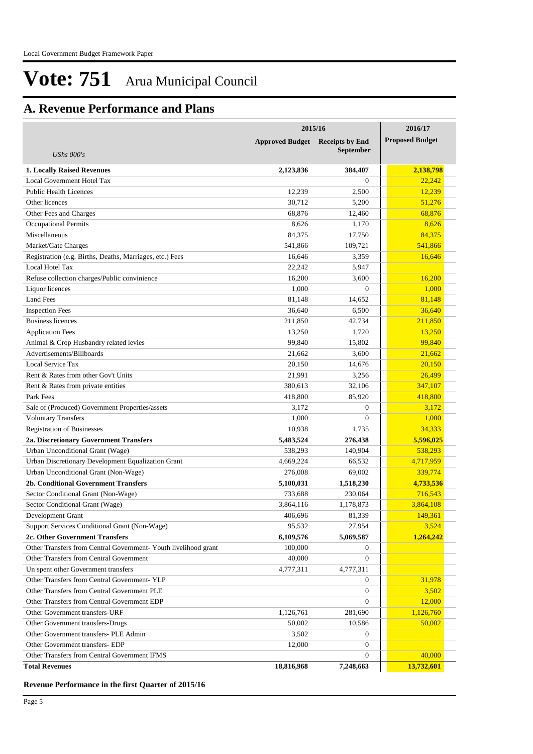## **A. Revenue Performance and Plans**

|                                                                 | 2015/16                | 2016/17                |                        |
|-----------------------------------------------------------------|------------------------|------------------------|------------------------|
|                                                                 | <b>Approved Budget</b> | <b>Receipts by End</b> | <b>Proposed Budget</b> |
| <b>UShs 000's</b>                                               |                        | <b>September</b>       |                        |
| <b>1. Locally Raised Revenues</b>                               | 2,123,836              | 384,407                | 2,138,798              |
| Local Government Hotel Tax                                      |                        | $\Omega$               | 22,242                 |
| <b>Public Health Licences</b>                                   | 12,239                 | 2,500                  | 12,239                 |
| Other licences                                                  | 30,712                 | 5,200                  | 51,276                 |
| Other Fees and Charges                                          | 68,876                 | 12,460                 | 68,876                 |
| <b>Occupational Permits</b>                                     | 8,626                  | 1,170                  | 8,626                  |
| Miscellaneous                                                   | 84,375                 | 17,750                 | 84,375                 |
| Market/Gate Charges                                             | 541,866                | 109,721                | 541,866                |
| Registration (e.g. Births, Deaths, Marriages, etc.) Fees        | 16,646                 | 3,359                  | 16,646                 |
| Local Hotel Tax                                                 | 22,242                 | 5,947                  |                        |
| Refuse collection charges/Public convinience                    | 16,200                 | 3,600                  | 16,200                 |
| Liquor licences                                                 | 1,000                  | $\theta$               | 1,000                  |
| <b>Land Fees</b>                                                | 81,148                 | 14,652                 | 81,148                 |
| <b>Inspection Fees</b>                                          | 36,640                 | 6,500                  | 36,640                 |
| <b>Business licences</b>                                        | 211,850                | 42,734                 | 211,850                |
| <b>Application Fees</b>                                         | 13,250                 | 1,720                  | 13,250                 |
| Animal & Crop Husbandry related levies                          | 99.840                 | 15,802                 | 99,840                 |
| Advertisements/Billboards                                       | 21,662                 | 3,600                  | 21,662                 |
| Local Service Tax                                               | 20,150                 | 14,676                 | 20,150                 |
| Rent & Rates from other Gov't Units                             | 21,991                 | 3,256                  | 26,499                 |
| Rent & Rates from private entities                              | 380,613                | 32,106                 | 347,107                |
| Park Fees                                                       | 418,800                | 85,920                 | 418,800                |
| Sale of (Produced) Government Properties/assets                 | 3,172                  | $\theta$               | 3,172                  |
| <b>Voluntary Transfers</b>                                      | 1,000                  | $\mathbf{0}$           | 1,000                  |
| <b>Registration of Businesses</b>                               | 10,938                 | 1,735                  | 34,333                 |
| 2a. Discretionary Government Transfers                          | 5,483,524              | 276,438                | 5,596,025              |
| Urban Unconditional Grant (Wage)                                | 538,293                | 140,904                | 538,293                |
| Urban Discretionary Development Equalization Grant              | 4,669,224              | 66,532                 | 4,717,959              |
| Urban Unconditional Grant (Non-Wage)                            | 276,008                | 69,002                 | 339,774                |
| 2b. Conditional Government Transfers                            | 5,100,031              | 1,518,230              | 4,733,536              |
| Sector Conditional Grant (Non-Wage)                             | 733,688                | 230,064                | 716,543                |
| Sector Conditional Grant (Wage)                                 | 3,864,116              | 1,178,873              | 3,864,108              |
| Development Grant                                               | 406,696                | 81,339                 | 149,361                |
| Support Services Conditional Grant (Non-Wage)                   | 95,532                 | 27,954                 | 3,524                  |
| 2c. Other Government Transfers                                  | 6,109,576              | 5,069,587              | 1,264,242              |
| Other Transfers from Central Government- Youth livelihood grant | 100,000                | $\overline{0}$         |                        |
| Other Transfers from Central Government                         | 40,000                 | $\boldsymbol{0}$       |                        |
| Un spent other Government transfers                             | 4,777,311              | 4,777,311              |                        |
| Other Transfers from Central Government-YLP                     |                        | $\mathbf{0}$           | 31,978                 |
| Other Transfers from Central Government PLE                     |                        | $\boldsymbol{0}$       | 3,502                  |
| Other Transfers from Central Government EDP                     |                        | $\mathbf{0}$           | 12,000                 |
| Other Government transfers-URF                                  | 1,126,761              | 281,690                | 1,126,760              |
| Other Government transfers-Drugs                                | 50,002                 | 10,586                 | 50,002                 |
| Other Government transfers- PLE Admin                           | 3,502                  | $\overline{0}$         |                        |
| Other Government transfers- EDP                                 | 12,000                 | $\boldsymbol{0}$       |                        |
| Other Transfers from Central Government IFMS                    |                        | $\mathbf{0}$           | 40,000                 |
| <b>Total Revenues</b>                                           | 18,816,968             | 7,248,663              | 13,732,601             |

**Revenue Performance in the first Quarter of 2015/16**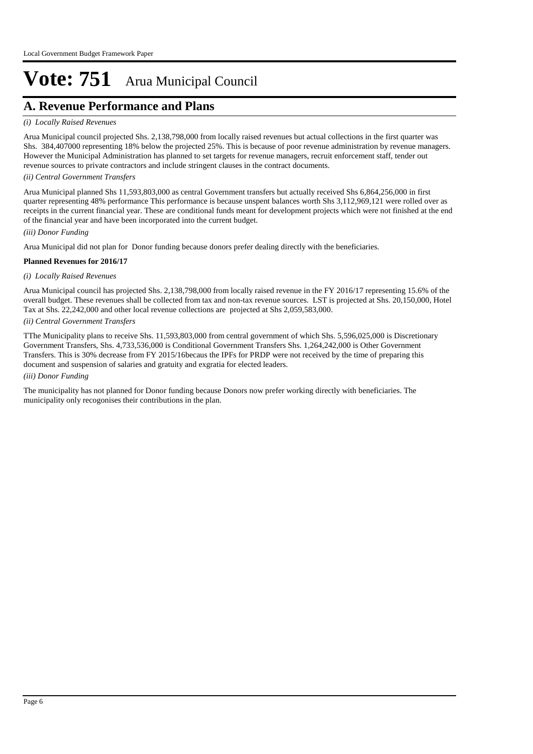## **A. Revenue Performance and Plans**

#### *(i) Locally Raised Revenues*

Arua Municipal council projected Shs. 2,138,798,000 from locally raised revenues but actual collections in the first quarter was Shs. 384,407000 representing 18% below the projected 25%. This is because of poor revenue administration by revenue managers. However the Municipal Administration has planned to set targets for revenue managers, recruit enforcement staff, tender out revenue sources to private contractors and include stringent clauses in the contract documents.

#### *(ii) Central Government Transfers*

Arua Municipal planned Shs 11,593,803,000 as central Government transfers but actually received Shs 6,864,256,000 in first quarter representing 48% performance This performance is because unspent balances worth Shs 3,112,969,121 were rolled over as receipts in the current financial year. These are conditional funds meant for development projects which were not finished at the end of the financial year and have been incorporated into the current budget.

#### *(iii) Donor Funding*

Arua Municipal did not plan for Donor funding because donors prefer dealing directly with the beneficiaries.

#### **Planned Revenues for 2016/17**

#### *(i) Locally Raised Revenues*

Arua Municipal council has projected Shs. 2,138,798,000 from locally raised revenue in the FY 2016/17 representing 15.6% of the overall budget. These revenues shall be collected from tax and non-tax revenue sources. LST is projected at Shs. 20,150,000, Hotel Tax at Shs. 22,242,000 and other local revenue collections are projected at Shs 2,059,583,000.

#### *(ii) Central Government Transfers*

TThe Municipality plans to receive Shs. 11,593,803,000 from central government of which Shs. 5,596,025,000 is Discretionary Government Transfers, Shs. 4,733,536,000 is Conditional Government Transfers Shs. 1,264,242,000 is Other Government Transfers. This is 30% decrease from FY 2015/16becaus the IPFs for PRDP were not received by the time of preparing this document and suspension of salaries and gratuity and exgratia for elected leaders.

#### *(iii) Donor Funding*

The municipality has not planned for Donor funding because Donors now prefer working directly with beneficiaries. The municipality only recogonises their contributions in the plan.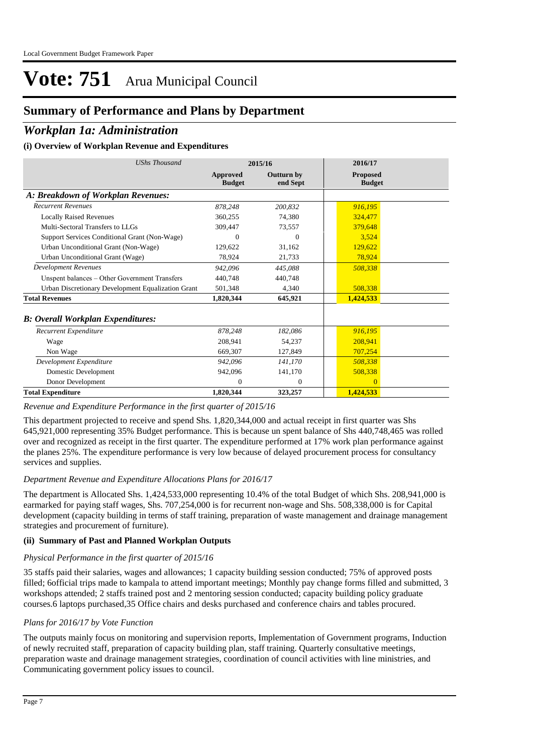## **Summary of Performance and Plans by Department**

### *Workplan 1a: Administration*

#### **(i) Overview of Workplan Revenue and Expenditures**

| <b>UShs Thousand</b>                               |                           | 2015/16                | 2016/17                          |  |
|----------------------------------------------------|---------------------------|------------------------|----------------------------------|--|
|                                                    | Approved<br><b>Budget</b> | Outturn by<br>end Sept | <b>Proposed</b><br><b>Budget</b> |  |
| A: Breakdown of Workplan Revenues:                 |                           |                        |                                  |  |
| <b>Recurrent Revenues</b>                          | 878,248                   | 200,832                | 916,195                          |  |
| <b>Locally Raised Revenues</b>                     | 360,255                   | 74,380                 | 324,477                          |  |
| Multi-Sectoral Transfers to LLGs                   | 309,447                   | 73,557                 | 379.648                          |  |
| Support Services Conditional Grant (Non-Wage)      | 0                         | $\Omega$               | 3.524                            |  |
| Urban Unconditional Grant (Non-Wage)               | 129,622                   | 31,162                 | 129,622                          |  |
| Urban Unconditional Grant (Wage)                   | 78,924                    | 21,733                 | 78,924                           |  |
| <b>Development Revenues</b>                        | 942.096                   | 445,088                | 508,338                          |  |
| Unspent balances – Other Government Transfers      | 440,748                   | 440,748                |                                  |  |
| Urban Discretionary Development Equalization Grant | 501,348                   | 4,340                  | 508,338                          |  |
| <b>Total Revenues</b>                              | 1,820,344                 | 645,921                | 1,424,533                        |  |
| <b>B</b> : Overall Workplan Expenditures:          |                           |                        |                                  |  |
| Recurrent Expenditure                              | 878,248                   | 182,086                | 916,195                          |  |
| Wage                                               | 208,941                   | 54,237                 | 208,941                          |  |
| Non Wage                                           | 669,307                   | 127,849                | 707,254                          |  |
| Development Expenditure                            | 942,096                   | 141.170                | 508,338                          |  |
| Domestic Development                               | 942,096                   | 141,170                | 508,338                          |  |
| Donor Development                                  | $\theta$                  | $\mathbf{0}$           | $\Omega$                         |  |
| <b>Total Expenditure</b>                           | 1,820,344                 | 323,257                | 1,424,533                        |  |

#### *Revenue and Expenditure Performance in the first quarter of 2015/16*

This department projected to receive and spend Shs. 1,820,344,000 and actual receipt in first quarter was Shs 645,921,000 representing 35% Budget performance. This is because un spent balance of Shs 440,748,465 was rolled over and recognized as receipt in the first quarter. The expenditure performed at 17% work plan performance against the planes 25%. The expenditure performance is very low because of delayed procurement process for consultancy services and supplies.

#### *Department Revenue and Expenditure Allocations Plans for 2016/17*

The department is Allocated Shs. 1,424,533,000 representing 10.4% of the total Budget of which Shs. 208,941,000 is earmarked for paying staff wages, Shs. 707,254,000 is for recurrent non-wage and Shs. 508,338,000 is for Capital development (capacity building in terms of staff training, preparation of waste management and drainage management strategies and procurement of furniture).

#### **(ii) Summary of Past and Planned Workplan Outputs**

#### *Physical Performance in the first quarter of 2015/16*

35 staffs paid their salaries, wages and allowances; 1 capacity building session conducted; 75% of approved posts filled; 6official trips made to kampala to attend important meetings; Monthly pay change forms filled and submitted, 3 workshops attended; 2 staffs trained post and 2 mentoring session conducted; capacity building policy graduate courses.6 laptops purchased,35 Office chairs and desks purchased and conference chairs and tables procured.

#### *Plans for 2016/17 by Vote Function*

The outputs mainly focus on monitoring and supervision reports, Implementation of Government programs, Induction of newly recruited staff, preparation of capacity building plan, staff training. Quarterly consultative meetings, preparation waste and drainage management strategies, coordination of council activities with line ministries, and Communicating government policy issues to council.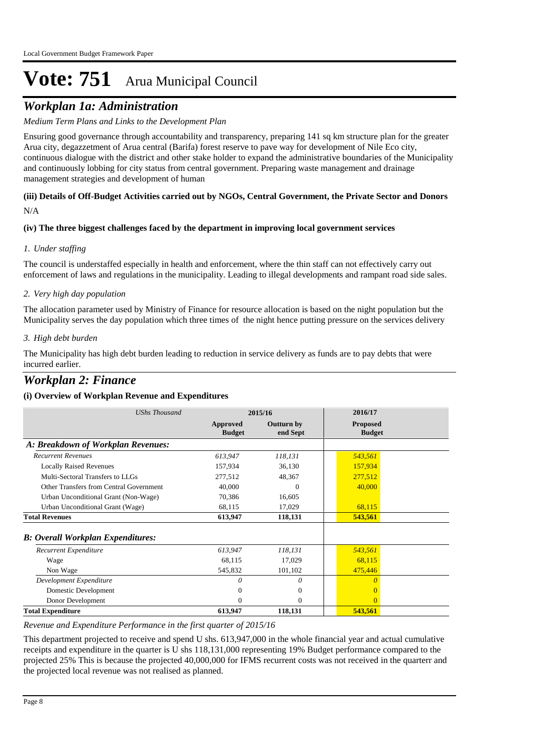## *Workplan 1a: Administration*

#### *Medium Term Plans and Links to the Development Plan*

Ensuring good governance through accountability and transparency, preparing 141 sq km structure plan for the greater Arua city, degazzetment of Arua central (Barifa) forest reserve to pave way for development of Nile Eco city, continuous dialogue with the district and other stake holder to expand the administrative boundaries of the Municipality and continuously lobbing for city status from central government. Preparing waste management and drainage management strategies and development of human

#### N/A **(iii) Details of Off-Budget Activities carried out by NGOs, Central Government, the Private Sector and Donors**

#### **(iv) The three biggest challenges faced by the department in improving local government services**

#### *Under staffing 1.*

The council is understaffed especially in health and enforcement, where the thin staff can not effectively carry out enforcement of laws and regulations in the municipality. Leading to illegal developments and rampant road side sales.

#### *Very high day population 2.*

The allocation parameter used by Ministry of Finance for resource allocation is based on the night population but the Municipality serves the day population which three times of the night hence putting pressure on the services delivery

#### *High debt burden 3.*

The Municipality has high debt burden leading to reduction in service delivery as funds are to pay debts that were incurred earlier.

### *Workplan 2: Finance*

#### **(i) Overview of Workplan Revenue and Expenditures**

| <b>UShs Thousand</b>                      |                           | 2015/16                       | 2016/17                          |  |
|-------------------------------------------|---------------------------|-------------------------------|----------------------------------|--|
|                                           | Approved<br><b>Budget</b> | <b>Outturn by</b><br>end Sept | <b>Proposed</b><br><b>Budget</b> |  |
| A: Breakdown of Workplan Revenues:        |                           |                               |                                  |  |
| <b>Recurrent Revenues</b>                 | 613,947                   | 118,131                       | 543,561                          |  |
| <b>Locally Raised Revenues</b>            | 157,934                   | 36,130                        | 157,934                          |  |
| Multi-Sectoral Transfers to LLGs          | 277,512                   | 48,367                        | 277,512                          |  |
| Other Transfers from Central Government   | 40,000                    | $\Omega$                      | 40,000                           |  |
| Urban Unconditional Grant (Non-Wage)      | 70,386                    | 16,605                        |                                  |  |
| Urban Unconditional Grant (Wage)          | 68,115                    | 17,029                        | 68,115                           |  |
| <b>Total Revenues</b>                     | 613,947                   | 118,131                       | 543,561                          |  |
| <b>B</b> : Overall Workplan Expenditures: |                           |                               |                                  |  |
| Recurrent Expenditure                     | 613,947                   | 118,131                       | 543,561                          |  |
| Wage                                      | 68,115                    | 17,029                        | 68,115                           |  |
| Non Wage                                  | 545,832                   | 101,102                       | 475,446                          |  |
| Development Expenditure                   | 0                         | 0                             | 0                                |  |
| Domestic Development                      | 0                         | $\overline{0}$                |                                  |  |
| Donor Development                         | 0                         | $\overline{0}$                | $\Omega$                         |  |
| <b>Total Expenditure</b>                  | 613,947                   | 118,131                       | 543,561                          |  |

#### *Revenue and Expenditure Performance in the first quarter of 2015/16*

This department projected to receive and spend U shs. 613,947,000 in the whole financial year and actual cumulative receipts and expenditure in the quarter is U shs 118,131,000 representing 19% Budget performance compared to the projected 25% This is because the projected 40,000,000 for IFMS recurrent costs was not received in the quarterr and the projected local revenue was not realised as planned.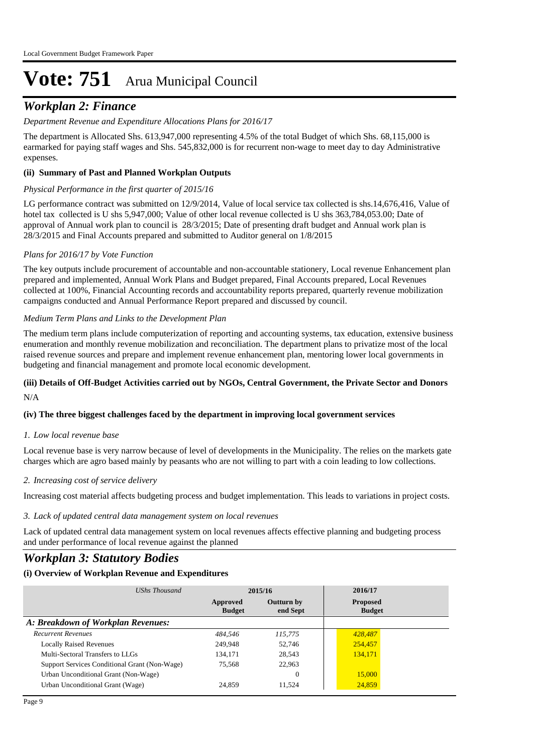## *Workplan 2: Finance*

#### *Department Revenue and Expenditure Allocations Plans for 2016/17*

The department is Allocated Shs. 613,947,000 representing 4.5% of the total Budget of which Shs. 68,115,000 is earmarked for paying staff wages and Shs. 545,832,000 is for recurrent non-wage to meet day to day Administrative expenses.

#### **(ii) Summary of Past and Planned Workplan Outputs**

#### *Physical Performance in the first quarter of 2015/16*

LG performance contract was submitted on 12/9/2014, Value of local service tax collected is shs.14,676,416, Value of hotel tax collected is U shs 5,947,000; Value of other local revenue collected is U shs 363,784,053.00; Date of approval of Annual work plan to council is 28/3/2015; Date of presenting draft budget and Annual work plan is 28/3/2015 and Final Accounts prepared and submitted to Auditor general on 1/8/2015

#### *Plans for 2016/17 by Vote Function*

The key outputs include procurement of accountable and non-accountable stationery, Local revenue Enhancement plan prepared and implemented, Annual Work Plans and Budget prepared, Final Accounts prepared, Local Revenues collected at 100%, Financial Accounting records and accountability reports prepared, quarterly revenue mobilization campaigns conducted and Annual Performance Report prepared and discussed by council.

#### *Medium Term Plans and Links to the Development Plan*

The medium term plans include computerization of reporting and accounting systems, tax education, extensive business enumeration and monthly revenue mobilization and reconciliation. The department plans to privatize most of the local raised revenue sources and prepare and implement revenue enhancement plan, mentoring lower local governments in budgeting and financial management and promote local economic development.

#### N/A **(iii) Details of Off-Budget Activities carried out by NGOs, Central Government, the Private Sector and Donors**

#### **(iv) The three biggest challenges faced by the department in improving local government services**

#### *Low local revenue base 1.*

Local revenue base is very narrow because of level of developments in the Municipality. The relies on the markets gate charges which are agro based mainly by peasants who are not willing to part with a coin leading to low collections.

#### *Increasing cost of service delivery 2.*

Increasing cost material affects budgeting process and budget implementation. This leads to variations in project costs.

#### *Lack of updated central data management system on local revenues 3.*

Lack of updated central data management system on local revenues affects effective planning and budgeting process and under performance of local revenue against the planned

### *Workplan 3: Statutory Bodies*

| UShs Thousand                                 | 2015/16                   |                               | 2016/17                          |  |
|-----------------------------------------------|---------------------------|-------------------------------|----------------------------------|--|
|                                               | Approved<br><b>Budget</b> | <b>Outturn by</b><br>end Sept | <b>Proposed</b><br><b>Budget</b> |  |
| A: Breakdown of Workplan Revenues:            |                           |                               |                                  |  |
| <b>Recurrent Revenues</b>                     | 484.546                   | 115,775                       | 428,487                          |  |
| <b>Locally Raised Revenues</b>                | 249,948                   | 52.746                        | 254,457                          |  |
| Multi-Sectoral Transfers to LLGs              | 134,171                   | 28.543                        | 134,171                          |  |
| Support Services Conditional Grant (Non-Wage) | 75,568                    | 22,963                        |                                  |  |
| Urban Unconditional Grant (Non-Wage)          |                           | 0                             | 15,000                           |  |
| Urban Unconditional Grant (Wage)              | 24,859                    | 11.524                        | 24,859                           |  |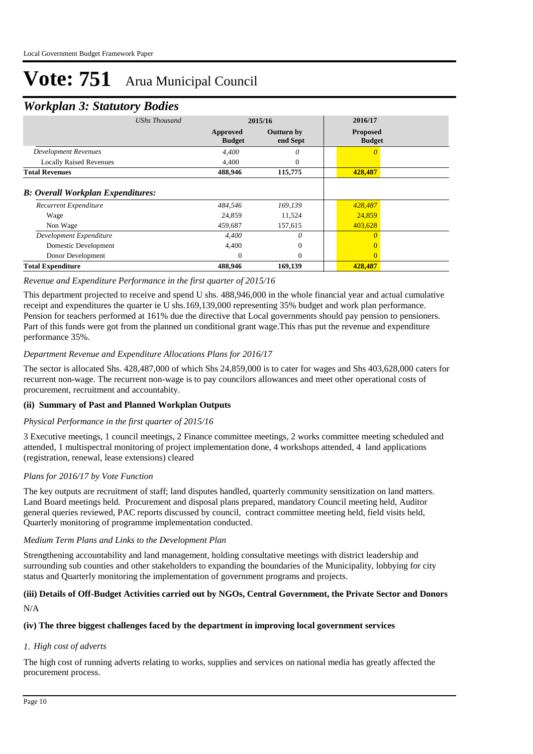### *Workplan 3: Statutory Bodies*

| <b>UShs Thousand</b>                                                      |                           | 2015/16                       |                                  |  |
|---------------------------------------------------------------------------|---------------------------|-------------------------------|----------------------------------|--|
|                                                                           | Approved<br><b>Budget</b> | <b>Outturn by</b><br>end Sept | <b>Proposed</b><br><b>Budget</b> |  |
| <b>Development Revenues</b>                                               | 4,400                     | 0                             | $\theta$                         |  |
| <b>Locally Raised Revenues</b>                                            | 4,400                     | 0                             |                                  |  |
| <b>Total Revenues</b>                                                     | 488,946                   | 115,775                       | 428,487                          |  |
| <b>B: Overall Workplan Expenditures:</b><br>Recurrent Expenditure<br>Wage | 484,546<br>24,859         | 169,139<br>11,524             | 428,487<br>24,859                |  |
|                                                                           |                           |                               |                                  |  |
| Non Wage                                                                  | 459,687                   | 157,615                       | 403,628                          |  |
| Development Expenditure                                                   | 4,400                     | $\theta$                      | $\theta$                         |  |
| Domestic Development                                                      | 4,400                     | $\Omega$                      |                                  |  |
| Donor Development                                                         | $\overline{0}$            | $\theta$                      | $\mathbf{0}$                     |  |
| <b>Total Expenditure</b>                                                  | 488,946                   | 169,139                       | 428,487                          |  |

#### *Revenue and Expenditure Performance in the first quarter of 2015/16*

This department projected to receive and spend U shs. 488,946,000 in the whole financial year and actual cumulative receipt and expenditures the quarter ie U shs.169,139,000 representing 35% budget and work plan performance. Pension for teachers performed at 161% due the directive that Local governments should pay pension to pensioners. Part of this funds were got from the planned un conditional grant wage.This rhas put the revenue and expenditure performance 35%.

#### *Department Revenue and Expenditure Allocations Plans for 2016/17*

The sector is allocated Shs. 428,487,000 of which Shs 24,859,000 is to cater for wages and Shs 403,628,000 caters for recurrent non-wage. The recurrent non-wage is to pay councilors allowances and meet other operational costs of procurement, recruitment and accountabity.

#### **(ii) Summary of Past and Planned Workplan Outputs**

#### *Physical Performance in the first quarter of 2015/16*

3 Executive meetings, 1 council meetings, 2 Finance committee meetings, 2 works committee meeting scheduled and attended, 1 multispectral monitoring of project implementation done, 4 workshops attended, 4 land applications (registration, renewal, lease extensions) cleared

#### *Plans for 2016/17 by Vote Function*

The key outputs are recruitment of staff; land disputes handled, quarterly community sensitization on land matters. Land Board meetings held. Procurement and disposal plans prepared, mandatory Council meeting held, Auditor general queries reviewed, PAC reports discussed by council, contract committee meeting held, field visits held, Quarterly monitoring of programme implementation conducted.

#### *Medium Term Plans and Links to the Development Plan*

Strengthening accountability and land management, holding consultative meetings with district leadership and surrounding sub counties and other stakeholders to expanding the boundaries of the Municipality, lobbying for city status and Quarterly monitoring the implementation of government programs and projects.

#### N/A **(iii) Details of Off-Budget Activities carried out by NGOs, Central Government, the Private Sector and Donors**

#### **(iv) The three biggest challenges faced by the department in improving local government services**

#### *High cost of adverts 1.*

The high cost of running adverts relating to works, supplies and services on national media has greatly affected the procurement process.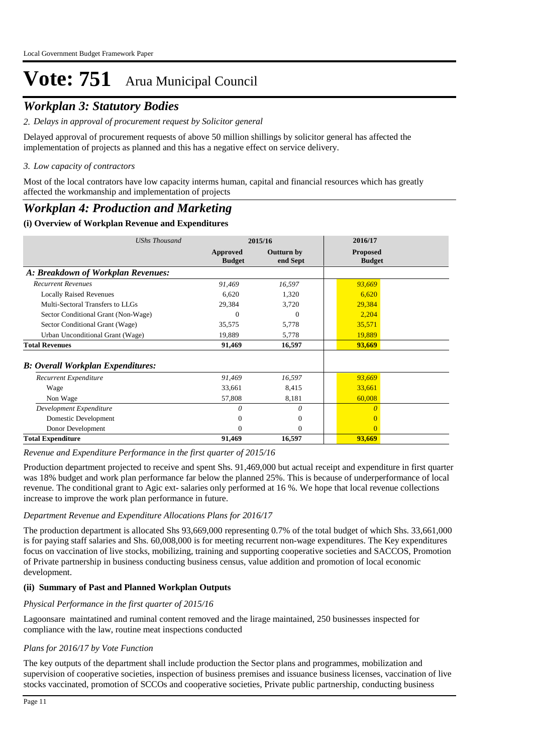## *Workplan 3: Statutory Bodies*

*Delays in approval of procurement request by Solicitor general 2.*

Delayed approval of procurement requests of above 50 million shillings by solicitor general has affected the implementation of projects as planned and this has a negative effect on service delivery.

#### *Low capacity of contractors 3.*

Most of the local contrators have low capacity interms human, capital and financial resources which has greatly affected the workmanship and implementation of projects

### *Workplan 4: Production and Marketing*

#### **(i) Overview of Workplan Revenue and Expenditures**

| <b>UShs Thousand</b>                      | 2015/16                   |                               | 2016/17                          |  |
|-------------------------------------------|---------------------------|-------------------------------|----------------------------------|--|
|                                           | Approved<br><b>Budget</b> | <b>Outturn by</b><br>end Sept | <b>Proposed</b><br><b>Budget</b> |  |
| A: Breakdown of Workplan Revenues:        |                           |                               |                                  |  |
| <b>Recurrent Revenues</b>                 | 91,469                    | 16,597                        | 93,669                           |  |
| <b>Locally Raised Revenues</b>            | 6,620                     | 1,320                         | 6,620                            |  |
| Multi-Sectoral Transfers to LLGs          | 29,384                    | 3,720                         | 29,384                           |  |
| Sector Conditional Grant (Non-Wage)       | 0                         | $\Omega$                      | 2,204                            |  |
| Sector Conditional Grant (Wage)           | 35,575                    | 5,778                         | 35,571                           |  |
| Urban Unconditional Grant (Wage)          | 19,889                    | 5,778                         | 19,889                           |  |
| <b>Total Revenues</b>                     | 91,469                    | 16,597                        | 93,669                           |  |
| <b>B</b> : Overall Workplan Expenditures: |                           |                               |                                  |  |
| Recurrent Expenditure                     | 91,469                    | 16,597                        | 93,669                           |  |
| Wage                                      | 33,661                    | 8,415                         | 33,661                           |  |
| Non Wage                                  | 57,808                    | 8,181                         | 60,008                           |  |
| Development Expenditure                   | 0                         | 0                             | $\Omega$                         |  |
| Domestic Development                      | $\Omega$                  | $\theta$                      |                                  |  |
| Donor Development                         | $\Omega$                  | $\Omega$                      | $\Omega$                         |  |
| <b>Total Expenditure</b>                  | 91,469                    | 16,597                        | 93,669                           |  |

*Revenue and Expenditure Performance in the first quarter of 2015/16*

Production department projected to receive and spent Shs. 91,469,000 but actual receipt and expenditure in first quarter was 18% budget and work plan performance far below the planned 25%. This is because of underperformance of local revenue. The conditional grant to Agic ext- salaries only performed at 16 %. We hope that local revenue collections increase to improve the work plan performance in future.

#### *Department Revenue and Expenditure Allocations Plans for 2016/17*

The production department is allocated Shs 93,669,000 representing 0.7% of the total budget of which Shs. 33,661,000 is for paying staff salaries and Shs. 60,008,000 is for meeting recurrent non-wage expenditures. The Key expenditures focus on vaccination of live stocks, mobilizing, training and supporting cooperative societies and SACCOS, Promotion of Private partnership in business conducting business census, value addition and promotion of local economic development.

#### **(ii) Summary of Past and Planned Workplan Outputs**

#### *Physical Performance in the first quarter of 2015/16*

Lagoonsare maintatined and ruminal content removed and the lirage maintained, 250 businesses inspected for compliance with the law, routine meat inspections conducted

#### *Plans for 2016/17 by Vote Function*

The key outputs of the department shall include production the Sector plans and programmes, mobilization and supervision of cooperative societies, inspection of business premises and issuance business licenses, vaccination of live stocks vaccinated, promotion of SCCOs and cooperative societies, Private public partnership, conducting business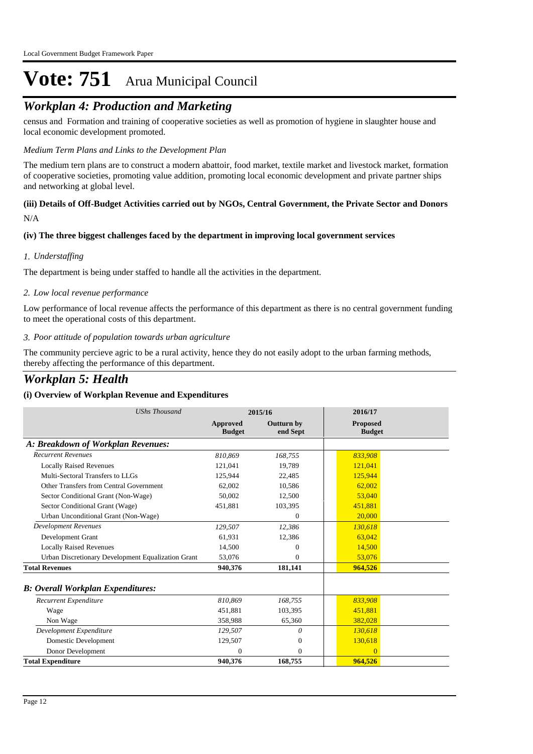## *Workplan 4: Production and Marketing*

census and Formation and training of cooperative societies as well as promotion of hygiene in slaughter house and local economic development promoted.

#### *Medium Term Plans and Links to the Development Plan*

The medium tern plans are to construct a modern abattoir, food market, textile market and livestock market, formation of cooperative societies, promoting value addition, promoting local economic development and private partner ships and networking at global level.

## **(iii) Details of Off-Budget Activities carried out by NGOs, Central Government, the Private Sector and Donors**

N/A

#### **(iv) The three biggest challenges faced by the department in improving local government services**

#### *Understaffing 1.*

The department is being under staffed to handle all the activities in the department.

#### *Low local revenue performance 2.*

Low performance of local revenue affects the performance of this department as there is no central government funding to meet the operational costs of this department.

#### *Poor attitude of population towards urban agriculture 3.*

The community percieve agric to be a rural activity, hence they do not easily adopt to the urban farming methods, thereby affecting the performance of this department.

### *Workplan 5: Health*

| <b>UShs Thousand</b>                               |                           | 2015/16                       | 2016/17                          |
|----------------------------------------------------|---------------------------|-------------------------------|----------------------------------|
|                                                    | Approved<br><b>Budget</b> | <b>Outturn by</b><br>end Sept | <b>Proposed</b><br><b>Budget</b> |
| A: Breakdown of Workplan Revenues:                 |                           |                               |                                  |
| <b>Recurrent Revenues</b>                          | 810.869                   | 168,755                       | 833,908                          |
| <b>Locally Raised Revenues</b>                     | 121,041                   | 19,789                        | 121,041                          |
| Multi-Sectoral Transfers to LLGs                   | 125,944                   | 22,485                        | 125,944                          |
| Other Transfers from Central Government            | 62,002                    | 10,586                        | 62,002                           |
| Sector Conditional Grant (Non-Wage)                | 50.002                    | 12,500                        | 53,040                           |
| Sector Conditional Grant (Wage)                    | 451,881                   | 103,395                       | 451,881                          |
| Urban Unconditional Grant (Non-Wage)               |                           | 0                             | 20,000                           |
| <b>Development Revenues</b>                        | 129,507                   | 12,386                        | 130.618                          |
| Development Grant                                  | 61,931                    | 12,386                        | 63,042                           |
| <b>Locally Raised Revenues</b>                     | 14.500                    | 0                             | 14,500                           |
| Urban Discretionary Development Equalization Grant | 53,076                    | 0                             | 53,076                           |
| <b>Total Revenues</b>                              | 940.376                   | 181,141                       | 964,526                          |
| <b>B: Overall Workplan Expenditures:</b>           |                           |                               |                                  |
| Recurrent Expenditure                              | 810,869                   | 168,755                       | 833,908                          |
| Wage                                               | 451,881                   | 103,395                       | 451,881                          |
| Non Wage                                           | 358,988                   | 65,360                        | 382,028                          |
| Development Expenditure                            | 129,507                   | 0                             | 130,618                          |
| Domestic Development                               | 129,507                   | 0                             | 130,618                          |
| Donor Development                                  | $\Omega$                  | $\mathbf{0}$                  | $\Omega$                         |
| <b>Total Expenditure</b>                           | 940,376                   | 168,755                       | 964,526                          |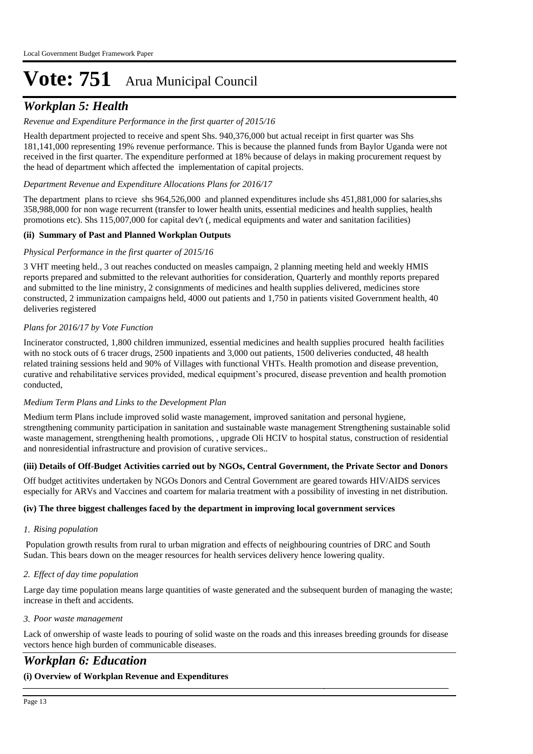## *Workplan 5: Health*

#### *Revenue and Expenditure Performance in the first quarter of 2015/16*

Health department projected to receive and spent Shs. 940,376,000 but actual receipt in first quarter was Shs 181,141,000 representing 19% revenue performance. This is because the planned funds from Baylor Uganda were not received in the first quarter. The expenditure performed at 18% because of delays in making procurement request by the head of department which affected the implementation of capital projects.

#### *Department Revenue and Expenditure Allocations Plans for 2016/17*

The department plans to rcieve shs 964,526,000 and planned expenditures include shs 451,881,000 for salaries,shs 358,988,000 for non wage recurrent (transfer to lower health units, essential medicines and health supplies, health promotions etc). Shs 115,007,000 for capital dev't (, medical equipments and water and sanitation facilities)

#### **(ii) Summary of Past and Planned Workplan Outputs**

#### *Physical Performance in the first quarter of 2015/16*

3 VHT meeting held., 3 out reaches conducted on measles campaign, 2 planning meeting held and weekly HMIS reports prepared and submitted to the relevant authorities for consideration, Quarterly and monthly reports prepared and submitted to the line ministry, 2 consignments of medicines and health supplies delivered, medicines store constructed, 2 immunization campaigns held, 4000 out patients and 1,750 in patients visited Government health, 40 deliveries registered

#### *Plans for 2016/17 by Vote Function*

Incinerator constructed, 1,800 children immunized, essential medicines and health supplies procured health facilities with no stock outs of 6 tracer drugs, 2500 inpatients and 3,000 out patients, 1500 deliveries conducted, 48 health related training sessions held and 90% of Villages with functional VHTs. Health promotion and disease prevention, curative and rehabilitative services provided, medical equipment's procured, disease prevention and health promotion conducted,

#### *Medium Term Plans and Links to the Development Plan*

Medium term Plans include improved solid waste management, improved sanitation and personal hygiene, strengthening community participation in sanitation and sustainable waste management Strengthening sustainable solid waste management, strengthening health promotions, , upgrade Oli HCIV to hospital status, construction of residential and nonresidential infrastructure and provision of curative services..

#### **(iii) Details of Off-Budget Activities carried out by NGOs, Central Government, the Private Sector and Donors**

Off budget actitivites undertaken by NGOs Donors and Central Government are geared towards HIV/AIDS services especially for ARVs and Vaccines and coartem for malaria treatment with a possibility of investing in net distribution.

#### **(iv) The three biggest challenges faced by the department in improving local government services**

#### *Rising population 1.*

 Population growth results from rural to urban migration and effects of neighbouring countries of DRC and South Sudan. This bears down on the meager resources for health services delivery hence lowering quality.

#### *Effect of day time population 2.*

Large day time population means large quantities of waste generated and the subsequent burden of managing the waste; increase in theft and accidents.

#### *Poor waste management 3.*

Lack of onwership of waste leads to pouring of solid waste on the roads and this inreases breeding grounds for disease vectors hence high burden of communicable diseases.

*UShs Thousand* **2015/16 2016/17**

## *Workplan 6: Education*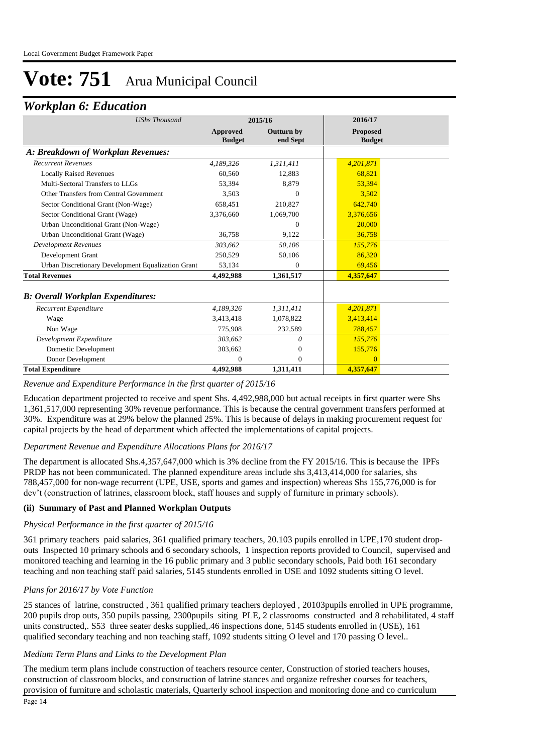### *Workplan 6: Education*

| <b>UShs Thousand</b>                               |                                  | 2015/16                       | 2016/17                          |
|----------------------------------------------------|----------------------------------|-------------------------------|----------------------------------|
|                                                    | <b>Approved</b><br><b>Budget</b> | <b>Outturn by</b><br>end Sept | <b>Proposed</b><br><b>Budget</b> |
| A: Breakdown of Workplan Revenues:                 |                                  |                               |                                  |
| <b>Recurrent Revenues</b>                          | 4,189,326                        | 1,311,411                     | 4,201,871                        |
| <b>Locally Raised Revenues</b>                     | 60,560                           | 12,883                        | 68,821                           |
| Multi-Sectoral Transfers to LLGs                   | 53.394                           | 8,879                         | 53,394                           |
| Other Transfers from Central Government            | 3,503                            | 0                             | 3,502                            |
| Sector Conditional Grant (Non-Wage)                | 658,451                          | 210,827                       | 642.740                          |
| Sector Conditional Grant (Wage)                    | 3,376,660                        | 1,069,700                     | 3,376,656                        |
| Urban Unconditional Grant (Non-Wage)               |                                  | $\Omega$                      | 20,000                           |
| Urban Unconditional Grant (Wage)                   | 36.758                           | 9,122                         | 36,758                           |
| Development Revenues                               | 303,662                          | 50,106                        | 155,776                          |
| Development Grant                                  | 250,529                          | 50,106                        | 86,320                           |
| Urban Discretionary Development Equalization Grant | 53,134                           | 0                             | 69,456                           |
| <b>Total Revenues</b>                              | 4,492,988                        | 1,361,517                     | 4,357,647                        |
| <b>B: Overall Workplan Expenditures:</b>           |                                  |                               |                                  |
| Recurrent Expenditure                              | 4,189,326                        | 1,311,411                     | 4,201,871                        |
| Wage                                               | 3,413,418                        | 1,078,822                     | 3,413,414                        |
| Non Wage                                           | 775,908                          | 232,589                       | 788,457                          |
| Development Expenditure                            | 303,662                          | 0                             | 155,776                          |
| Domestic Development                               | 303,662                          | $\mathbf{0}$                  | 155,776                          |
| Donor Development                                  | $\Omega$                         | $\mathbf{0}$                  | $\Omega$                         |
| <b>Total Expenditure</b>                           | 4,492,988                        | 1,311,411                     | 4,357,647                        |

#### *Revenue and Expenditure Performance in the first quarter of 2015/16*

Education department projected to receive and spent Shs. 4,492,988,000 but actual receipts in first quarter were Shs 1,361,517,000 representing 30% revenue performance. This is because the central government transfers performed at 30%. Expenditure was at 29% below the planned 25%. This is because of delays in making procurement request for capital projects by the head of department which affected the implementations of capital projects.

#### *Department Revenue and Expenditure Allocations Plans for 2016/17*

The department is allocated Shs.4,357,647,000 which is 3% decline from the FY 2015/16. This is because the IPFs PRDP has not been communicated. The planned expenditure areas include shs 3,413,414,000 for salaries, shs 788,457,000 for non-wage recurrent (UPE, USE, sports and games and inspection) whereas Shs 155,776,000 is for dev't (construction of latrines, classroom block, staff houses and supply of furniture in primary schools).

#### **(ii) Summary of Past and Planned Workplan Outputs**

#### *Physical Performance in the first quarter of 2015/16*

361 primary teachers paid salaries, 361 qualified primary teachers, 20.103 pupils enrolled in UPE,170 student dropouts Inspected 10 primary schools and 6 secondary schools, 1 inspection reports provided to Council, supervised and monitored teaching and learning in the 16 public primary and 3 public secondary schools, Paid both 161 secondary teaching and non teaching staff paid salaries, 5145 stundents enrolled in USE and 1092 students sitting O level.

#### *Plans for 2016/17 by Vote Function*

25 stances of latrine, constructed , 361 qualified primary teachers deployed , 20103pupils enrolled in UPE programme, 200 pupils drop outs, 350 pupils passing, 2300pupils siting PLE, 2 classrooms constructed and 8 rehabilitated, 4 staff units constructed,. S53 three seater desks supplied,.46 inspections done, 5145 students enrolled in (USE), 161 qualified secondary teaching and non teaching staff, 1092 students sitting O level and 170 passing O level..

#### *Medium Term Plans and Links to the Development Plan*

The medium term plans include construction of teachers resource center, Construction of storied teachers houses, construction of classroom blocks, and construction of latrine stances and organize refresher courses for teachers, provision of furniture and scholastic materials, Quarterly school inspection and monitoring done and co curriculum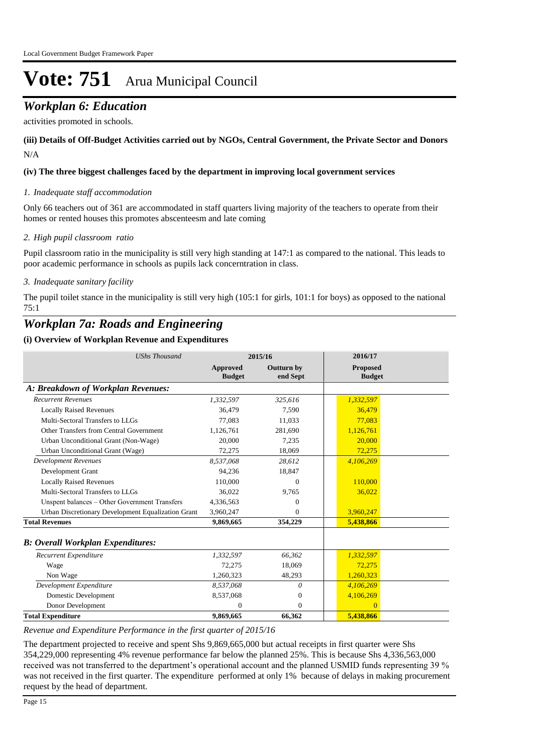## *Workplan 6: Education*

activities promoted in schools.

#### N/A **(iii) Details of Off-Budget Activities carried out by NGOs, Central Government, the Private Sector and Donors**

#### **(iv) The three biggest challenges faced by the department in improving local government services**

#### *Inadequate staff accommodation 1.*

Only 66 teachers out of 361 are accommodated in staff quarters living majority of the teachers to operate from their homes or rented houses this promotes abscenteesm and late coming

#### *High pupil classroom ratio 2.*

Pupil classroom ratio in the municipality is still very high standing at 147:1 as compared to the national. This leads to poor academic performance in schools as pupils lack concerntration in class.

#### *Inadequate sanitary facility 3.*

The pupil toilet stance in the municipality is still very high (105:1 for girls, 101:1 for boys) as opposed to the national 75:1

### *Workplan 7a: Roads and Engineering*

#### **(i) Overview of Workplan Revenue and Expenditures**

| <b>UShs Thousand</b>                               |                           | 2015/16                       | 2016/17                   |
|----------------------------------------------------|---------------------------|-------------------------------|---------------------------|
|                                                    | Approved<br><b>Budget</b> | <b>Outturn by</b><br>end Sept | Proposed<br><b>Budget</b> |
| A: Breakdown of Workplan Revenues:                 |                           |                               |                           |
| <b>Recurrent Revenues</b>                          | 1,332,597                 | 325,616                       | 1,332,597                 |
| <b>Locally Raised Revenues</b>                     | 36.479                    | 7.590                         | 36,479                    |
| Multi-Sectoral Transfers to LLGs                   | 77.083                    | 11,033                        | 77.083                    |
| Other Transfers from Central Government            | 1.126.761                 | 281.690                       | 1.126.761                 |
| Urban Unconditional Grant (Non-Wage)               | 20,000                    | 7,235                         | 20,000                    |
| Urban Unconditional Grant (Wage)                   | 72,275                    | 18,069                        | 72,275                    |
| <b>Development Revenues</b>                        | 8.537.068                 | 28.612                        | 4,106,269                 |
| Development Grant                                  | 94,236                    | 18,847                        |                           |
| <b>Locally Raised Revenues</b>                     | 110,000                   | $\Omega$                      | 110,000                   |
| Multi-Sectoral Transfers to LLGs                   | 36.022                    | 9,765                         | 36,022                    |
| Unspent balances - Other Government Transfers      | 4,336,563                 | 0                             |                           |
| Urban Discretionary Development Equalization Grant | 3,960,247                 | $^{(1)}$                      | 3,960,247                 |
| <b>Total Revenues</b>                              | 9,869,665                 | 354,229                       | 5,438,866                 |
| <b>B</b> : Overall Workplan Expenditures:          |                           |                               |                           |
| Recurrent Expenditure                              | 1,332,597                 | 66.362                        | 1,332,597                 |
| Wage                                               | 72,275                    | 18,069                        | 72,275                    |
| Non Wage                                           | 1,260,323                 | 48,293                        | 1,260,323                 |
| Development Expenditure                            | 8,537,068                 | 0                             | 4,106,269                 |
| Domestic Development                               | 8,537,068                 | $\boldsymbol{0}$              | 4,106,269                 |
| Donor Development                                  | 0                         | $\Omega$                      | $\Omega$                  |
| <b>Total Expenditure</b>                           | 9,869,665                 | 66,362                        | 5,438,866                 |

*Revenue and Expenditure Performance in the first quarter of 2015/16*

The department projected to receive and spent Shs 9,869,665,000 but actual receipts in first quarter were Shs 354,229,000 representing 4% revenue performance far below the planned 25%. This is because Shs 4,336,563,000 received was not transferred to the department's operational account and the planned USMID funds representing 39 % was not received in the first quarter. The expenditure performed at only 1% because of delays in making procurement request by the head of department.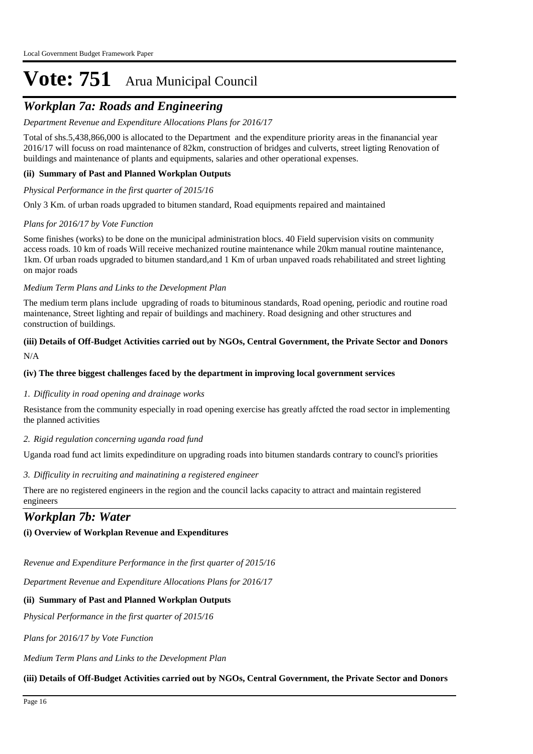## *Workplan 7a: Roads and Engineering*

#### *Department Revenue and Expenditure Allocations Plans for 2016/17*

Total of shs.5,438,866,000 is allocated to the Department and the expenditure priority areas in the finanancial year 2016/17 will focuss on road maintenance of 82km, construction of bridges and culverts, street ligting Renovation of buildings and maintenance of plants and equipments, salaries and other operational expenses.

#### **(ii) Summary of Past and Planned Workplan Outputs**

#### *Physical Performance in the first quarter of 2015/16*

Only 3 Km. of urban roads upgraded to bitumen standard, Road equipments repaired and maintained

#### *Plans for 2016/17 by Vote Function*

Some finishes (works) to be done on the municipal administration blocs. 40 Field supervision visits on community access roads. 10 km of roads Will receive mechanized routine maintenance while 20km manual routine maintenance, 1km. Of urban roads upgraded to bitumen standard,and 1 Km of urban unpaved roads rehabilitated and street lighting on major roads

#### *Medium Term Plans and Links to the Development Plan*

The medium term plans include upgrading of roads to bituminous standards, Road opening, periodic and routine road maintenance, Street lighting and repair of buildings and machinery. Road designing and other structures and construction of buildings.

#### N/A **(iii) Details of Off-Budget Activities carried out by NGOs, Central Government, the Private Sector and Donors**

#### **(iv) The three biggest challenges faced by the department in improving local government services**

#### *Difficulity in road opening and drainage works 1.*

Resistance from the community especially in road opening exercise has greatly affcted the road sector in implementing the planned activities

#### *Rigid regulation concerning uganda road fund 2.*

Uganda road fund act limits expedinditure on upgrading roads into bitumen standards contrary to councl's priorities

#### *Difficulity in recruiting and mainatining a registered engineer 3.*

There are no registered engineers in the region and the council lacks capacity to attract and maintain registered engineers

### *Workplan 7b: Water*

#### **(i) Overview of Workplan Revenue and Expenditures**

*Revenue and Expenditure Performance in the first quarter of 2015/16*

*Department Revenue and Expenditure Allocations Plans for 2016/17*

#### **(ii) Summary of Past and Planned Workplan Outputs**

*Physical Performance in the first quarter of 2015/16*

*Plans for 2016/17 by Vote Function*

*Medium Term Plans and Links to the Development Plan*

#### **(iii) Details of Off-Budget Activities carried out by NGOs, Central Government, the Private Sector and Donors**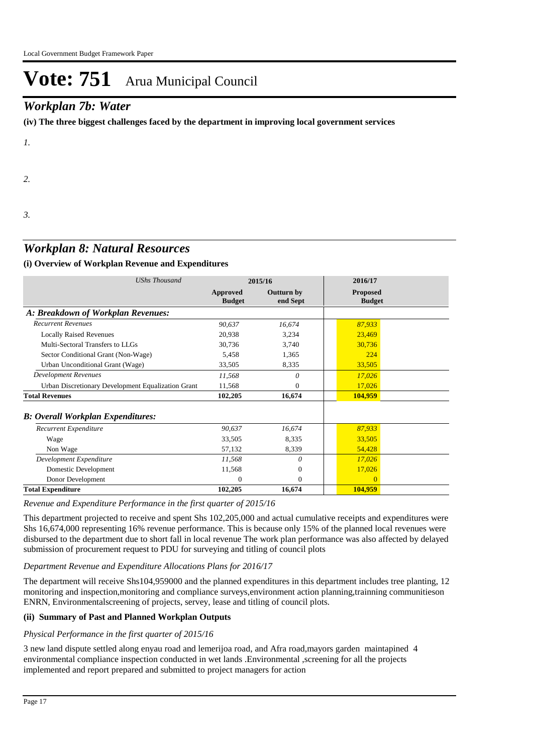### *Workplan 7b: Water*

**(iv) The three biggest challenges faced by the department in improving local government services**

*1.*

*2.*

*3.*

### *Workplan 8: Natural Resources*

#### **(i) Overview of Workplan Revenue and Expenditures**

| <b>UShs Thousand</b>                               |                           | 2015/16                       | 2016/17                          |  |
|----------------------------------------------------|---------------------------|-------------------------------|----------------------------------|--|
|                                                    | Approved<br><b>Budget</b> | <b>Outturn by</b><br>end Sept | <b>Proposed</b><br><b>Budget</b> |  |
| A: Breakdown of Workplan Revenues:                 |                           |                               |                                  |  |
| <b>Recurrent Revenues</b>                          | 90,637                    | 16,674                        | 87,933                           |  |
| <b>Locally Raised Revenues</b>                     | 20,938                    | 3,234                         | 23,469                           |  |
| Multi-Sectoral Transfers to LLGs                   | 30,736                    | 3,740                         | 30,736                           |  |
| Sector Conditional Grant (Non-Wage)                | 5,458                     | 1,365                         | 224                              |  |
| Urban Unconditional Grant (Wage)                   | 33,505                    | 8,335                         | 33,505                           |  |
| <b>Development Revenues</b>                        | 11,568                    | 0                             | 17,026                           |  |
| Urban Discretionary Development Equalization Grant | 11,568                    | 0                             | 17,026                           |  |
| <b>Total Revenues</b>                              | 102,205                   | 16,674                        | 104,959                          |  |
| <b>B: Overall Workplan Expenditures:</b>           |                           |                               |                                  |  |
| Recurrent Expenditure                              | 90,637                    | 16,674                        | 87,933                           |  |
| Wage                                               | 33,505                    | 8,335                         | 33,505                           |  |
| Non Wage                                           | 57,132                    | 8,339                         | 54,428                           |  |
| Development Expenditure                            | 11,568                    | 0                             | 17,026                           |  |
| Domestic Development                               | 11,568                    | $\overline{0}$                | 17,026                           |  |
| Donor Development                                  | $\Omega$                  | $\overline{0}$                | $\theta$                         |  |
| <b>Total Expenditure</b>                           | 102,205                   | 16,674                        | 104,959                          |  |

#### *Revenue and Expenditure Performance in the first quarter of 2015/16*

This department projected to receive and spent Shs 102,205,000 and actual cumulative receipts and expenditures were Shs 16,674,000 representing 16% revenue performance. This is because only 15% of the planned local revenues were disbursed to the department due to short fall in local revenue The work plan performance was also affected by delayed submission of procurement request to PDU for surveying and titling of council plots

#### *Department Revenue and Expenditure Allocations Plans for 2016/17*

The department will receive Shs104,959000 and the planned expenditures in this department includes tree planting, 12 monitoring and inspection,monitoring and compliance surveys,environment action planning,trainning communitieson ENRN, Environmentalscreening of projects, servey, lease and titling of council plots.

#### **(ii) Summary of Past and Planned Workplan Outputs**

### *Physical Performance in the first quarter of 2015/16*

3 new land dispute settled along enyau road and lemerijoa road, and Afra road,mayors garden maintapined 4 environmental compliance inspection conducted in wet lands .Environmental ,screening for all the projects implemented and report prepared and submitted to project managers for action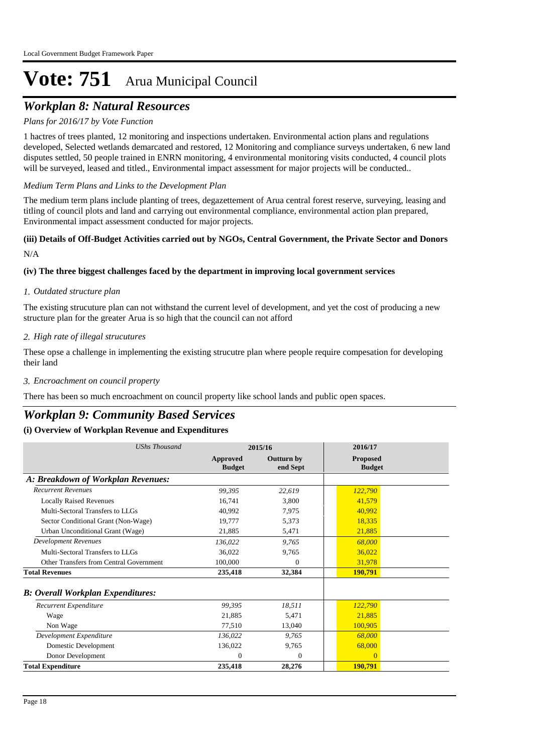## *Workplan 8: Natural Resources*

#### *Plans for 2016/17 by Vote Function*

1 hactres of trees planted, 12 monitoring and inspections undertaken. Environmental action plans and regulations developed, Selected wetlands demarcated and restored, 12 Monitoring and compliance surveys undertaken, 6 new land disputes settled, 50 people trained in ENRN monitoring, 4 environmental monitoring visits conducted, 4 council plots will be surveyed, leased and titled., Environmental impact assessment for major projects will be conducted..

#### *Medium Term Plans and Links to the Development Plan*

The medium term plans include planting of trees, degazettement of Arua central forest reserve, surveying, leasing and titling of council plots and land and carrying out environmental compliance, environmental action plan prepared, Environmental impact assessment conducted for major projects.

## **(iii) Details of Off-Budget Activities carried out by NGOs, Central Government, the Private Sector and Donors**

N/A

#### **(iv) The three biggest challenges faced by the department in improving local government services**

#### *Outdated structure plan 1.*

The existing strucuture plan can not withstand the current level of development, and yet the cost of producing a new structure plan for the greater Arua is so high that the council can not afford

#### *High rate of illegal strucutures 2.*

These opse a challenge in implementing the existing strucutre plan where people require compesation for developing their land

#### *Encroachment on council property 3.*

There has been so much encroachment on council property like school lands and public open spaces.

### *Workplan 9: Community Based Services*

| <b>UShs Thousand</b>                      | 2015/16                   |                               | 2016/17                          |
|-------------------------------------------|---------------------------|-------------------------------|----------------------------------|
|                                           | Approved<br><b>Budget</b> | <b>Outturn by</b><br>end Sept | <b>Proposed</b><br><b>Budget</b> |
| A: Breakdown of Workplan Revenues:        |                           |                               |                                  |
| <b>Recurrent Revenues</b>                 | 99,395                    | 22,619                        | 122,790                          |
| <b>Locally Raised Revenues</b>            | 16.741                    | 3,800                         | 41,579                           |
| Multi-Sectoral Transfers to LLGs          | 40,992                    | 7,975                         | 40,992                           |
| Sector Conditional Grant (Non-Wage)       | 19.777                    | 5,373                         | 18,335                           |
| Urban Unconditional Grant (Wage)          | 21,885                    | 5,471                         | 21,885                           |
| <b>Development Revenues</b>               | 136,022                   | 9,765                         | 68,000                           |
| Multi-Sectoral Transfers to LLGs          | 36,022                    | 9,765                         | 36,022                           |
| Other Transfers from Central Government   | 100,000                   | $\Omega$                      | 31,978                           |
| <b>Total Revenues</b>                     | 235,418                   | 32,384                        | 190,791                          |
| <b>B</b> : Overall Workplan Expenditures: |                           |                               |                                  |
| Recurrent Expenditure                     | 99,395                    | 18,511                        | 122,790                          |
| Wage                                      | 21,885                    | 5,471                         | 21,885                           |
| Non Wage                                  | 77,510                    | 13,040                        | 100,905                          |
| Development Expenditure                   | 136,022                   | 9.765                         | 68,000                           |
| Domestic Development                      | 136,022                   | 9,765                         | 68,000                           |
| Donor Development                         | $\overline{0}$            | $\overline{0}$                | $\overline{0}$                   |
| <b>Total Expenditure</b>                  | 235,418                   | 28,276                        | 190,791                          |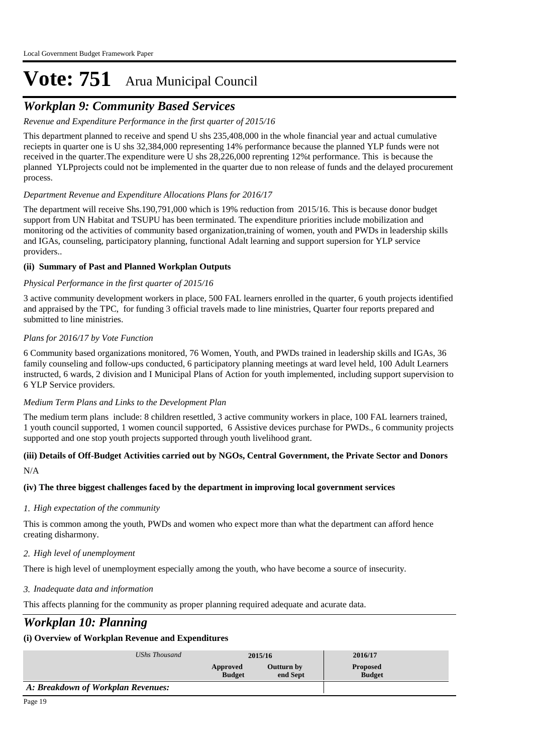## *Workplan 9: Community Based Services*

#### *Revenue and Expenditure Performance in the first quarter of 2015/16*

This department planned to receive and spend U shs 235,408,000 in the whole financial year and actual cumulative reciepts in quarter one is U shs 32,384,000 representing 14% performance because the planned YLP funds were not received in the quarter.The expenditure were U shs 28,226,000 reprenting 12%t performance. This is because the planned YLPprojects could not be implemented in the quarter due to non release of funds and the delayed procurement process.

#### *Department Revenue and Expenditure Allocations Plans for 2016/17*

The department will receive Shs.190,791,000 which is 19% reduction from 2015/16. This is because donor budget support from UN Habitat and TSUPU has been terminated. The expenditure priorities include mobilization and monitoring od the activities of community based organization,training of women, youth and PWDs in leadership skills and IGAs, counseling, participatory planning, functional Adalt learning and support supersion for YLP service providers..

#### **(ii) Summary of Past and Planned Workplan Outputs**

#### *Physical Performance in the first quarter of 2015/16*

3 active community development workers in place, 500 FAL learners enrolled in the quarter, 6 youth projects identified and appraised by the TPC, for funding 3 official travels made to line ministries, Quarter four reports prepared and submitted to line ministries.

#### *Plans for 2016/17 by Vote Function*

6 Community based organizations monitored, 76 Women, Youth, and PWDs trained in leadership skills and IGAs, 36 family counseling and follow-ups conducted, 6 participatory planning meetings at ward level held, 100 Adult Learners instructed, 6 wards, 2 division and I Municipal Plans of Action for youth implemented, including support supervision to 6 YLP Service providers.

#### *Medium Term Plans and Links to the Development Plan*

The medium term plans include: 8 children resettled, 3 active community workers in place, 100 FAL learners trained, 1 youth council supported, 1 women council supported, 6 Assistive devices purchase for PWDs., 6 community projects supported and one stop youth projects supported through youth livelihood grant.

### **(iii) Details of Off-Budget Activities carried out by NGOs, Central Government, the Private Sector and Donors**

N/A

### **(iv) The three biggest challenges faced by the department in improving local government services**

#### *High expectation of the community 1.*

This is common among the youth, PWDs and women who expect more than what the department can afford hence creating disharmony.

### *High level of unemployment 2.*

There is high level of unemployment especially among the youth, who have become a source of insecurity.

### *Inadequate data and information 3.*

This affects planning for the community as proper planning required adequate and acurate data.

## *Workplan 10: Planning*

| UShs Thousand                      | 2015/16                   |                        | 2016/17                          |  |
|------------------------------------|---------------------------|------------------------|----------------------------------|--|
|                                    | Approved<br><b>Budget</b> | Outturn by<br>end Sept | <b>Proposed</b><br><b>Budget</b> |  |
| A: Breakdown of Workplan Revenues: |                           |                        |                                  |  |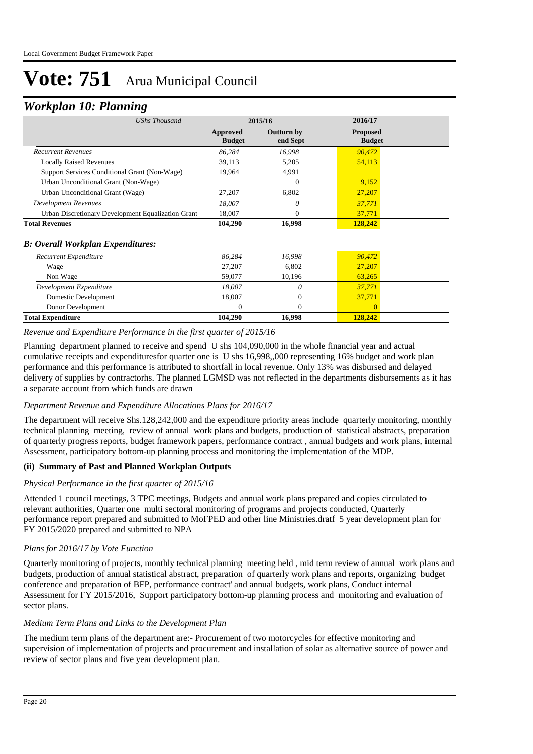### *Workplan 10: Planning*

| ິ                                                  |                           |                        |                                  |  |
|----------------------------------------------------|---------------------------|------------------------|----------------------------------|--|
| <b>UShs Thousand</b>                               |                           | 2015/16                |                                  |  |
|                                                    | Approved<br><b>Budget</b> | Outturn by<br>end Sept | <b>Proposed</b><br><b>Budget</b> |  |
| <b>Recurrent Revenues</b>                          | 86,284                    | 16,998                 | 90,472                           |  |
| <b>Locally Raised Revenues</b>                     | 39,113                    | 5,205                  | 54,113                           |  |
| Support Services Conditional Grant (Non-Wage)      | 19,964                    | 4,991                  |                                  |  |
| Urban Unconditional Grant (Non-Wage)               |                           | $\Omega$               | 9,152                            |  |
| Urban Unconditional Grant (Wage)                   | 27,207                    | 6,802                  | 27,207                           |  |
| <b>Development Revenues</b>                        | 18,007                    | 0                      | 37,771                           |  |
| Urban Discretionary Development Equalization Grant | 18,007                    | 0                      | 37,771                           |  |
| <b>Total Revenues</b>                              | 104,290                   | 16,998                 | 128,242                          |  |
| B: Overall Workplan Expenditures:                  |                           |                        |                                  |  |
| Recurrent Expenditure                              | 86,284                    | 16,998                 | 90,472                           |  |
| Wage                                               | 27,207                    | 6,802                  | 27,207                           |  |
| Non Wage                                           | 59,077                    | 10,196                 | 63,265                           |  |
| Development Expenditure                            | 18,007                    | 0                      | 37,771                           |  |
| Domestic Development                               | 18,007                    | 0                      | 37,771                           |  |
| Donor Development                                  | 0                         | $\Omega$               | $\Omega$                         |  |
| <b>Total Expenditure</b>                           | 104,290                   | 16,998                 | 128,242                          |  |
|                                                    |                           |                        |                                  |  |

#### *Revenue and Expenditure Performance in the first quarter of 2015/16*

Planning department planned to receive and spend U shs 104,090,000 in the whole financial year and actual cumulative receipts and expendituresfor quarter one is U shs 16,998,,000 representing 16% budget and work plan performance and this performance is attributed to shortfall in local revenue. Only 13% was disbursed and delayed delivery of supplies by contractorhs. The planned LGMSD was not reflected in the departments disbursements as it has a separate account from which funds are drawn

#### *Department Revenue and Expenditure Allocations Plans for 2016/17*

The department will receive Shs.128,242,000 and the expenditure priority areas include quarterly monitoring, monthly technical planning meeting, review of annual work plans and budgets, production of statistical abstracts, preparation of quarterly progress reports, budget framework papers, performance contract , annual budgets and work plans, internal Assessment, participatory bottom-up planning process and monitoring the implementation of the MDP.

#### **(ii) Summary of Past and Planned Workplan Outputs**

#### *Physical Performance in the first quarter of 2015/16*

Attended 1 council meetings, 3 TPC meetings, Budgets and annual work plans prepared and copies circulated to relevant authorities, Quarter one multi sectoral monitoring of programs and projects conducted, Quarterly performance report prepared and submitted to MoFPED and other line Ministries.dratf 5 year development plan for FY 2015/2020 prepared and submitted to NPA

#### *Plans for 2016/17 by Vote Function*

Quarterly monitoring of projects, monthly technical planning meeting held , mid term review of annual work plans and budgets, production of annual statistical abstract, preparation of quarterly work plans and reports, organizing budget conference and preparation of BFP, performance contract' and annual budgets, work plans, Conduct internal Assessment for FY 2015/2016, Support participatory bottom-up planning process and monitoring and evaluation of sector plans.

#### *Medium Term Plans and Links to the Development Plan*

The medium term plans of the department are:- Procurement of two motorcycles for effective monitoring and supervision of implementation of projects and procurement and installation of solar as alternative source of power and review of sector plans and five year development plan.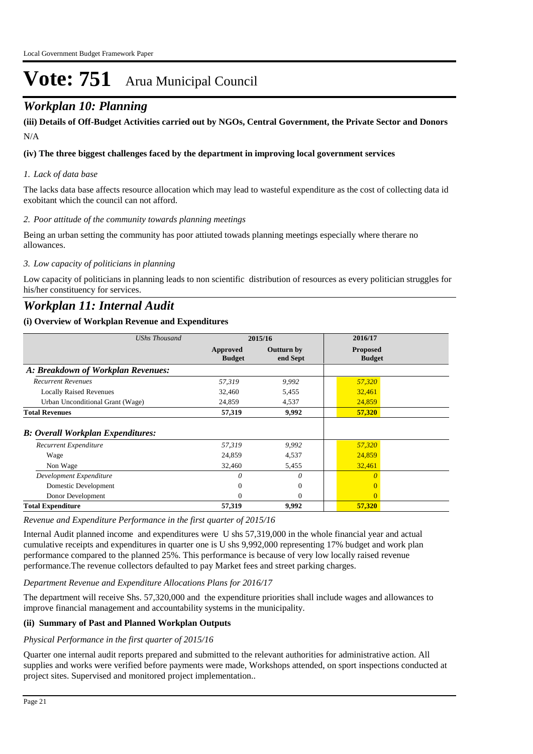## *Workplan 10: Planning*

N/A **(iii) Details of Off-Budget Activities carried out by NGOs, Central Government, the Private Sector and Donors** 

#### **(iv) The three biggest challenges faced by the department in improving local government services**

#### *Lack of data base 1.*

The lacks data base affects resource allocation which may lead to wasteful expenditure as the cost of collecting data id exobitant which the council can not afford.

#### *Poor attitude of the community towards planning meetings 2.*

Being an urban setting the community has poor attiuted towads planning meetings especially where therare no allowances.

#### *Low capacity of politicians in planning 3.*

Low capacity of politicians in planning leads to non scientific distribution of resources as every politician struggles for his/her constituency for services.

### *Workplan 11: Internal Audit*

#### **(i) Overview of Workplan Revenue and Expenditures**

| <b>UShs Thousand</b>                     | 2015/16                   |                               | 2016/17                          |  |
|------------------------------------------|---------------------------|-------------------------------|----------------------------------|--|
|                                          | Approved<br><b>Budget</b> | <b>Outturn by</b><br>end Sept | <b>Proposed</b><br><b>Budget</b> |  |
| A: Breakdown of Workplan Revenues:       |                           |                               |                                  |  |
| <b>Recurrent Revenues</b>                | 57,319                    | 9.992                         | 57,320                           |  |
| <b>Locally Raised Revenues</b>           | 32,460                    | 5,455                         | 32,461                           |  |
| Urban Unconditional Grant (Wage)         | 24,859                    | 4,537                         | 24,859                           |  |
| <b>Total Revenues</b>                    | 57,319                    | 9,992                         | 57,320                           |  |
| <b>B: Overall Workplan Expenditures:</b> |                           |                               |                                  |  |
| Recurrent Expenditure                    | 57,319                    | 9,992                         | 57,320                           |  |
| Wage                                     | 24,859                    | 4,537                         | 24,859                           |  |
| Non Wage                                 | 32,460                    | 5,455                         | 32,461                           |  |
| Development Expenditure                  | 0                         | 0                             | O                                |  |
| Domestic Development                     | 0                         | $\overline{0}$                |                                  |  |
| Donor Development                        | $\Omega$                  | $\overline{0}$                | $\Omega$                         |  |
| <b>Total Expenditure</b>                 | 57,319                    | 9,992                         | 57,320                           |  |

*Revenue and Expenditure Performance in the first quarter of 2015/16*

Internal Audit planned income and expenditures were U shs 57,319,000 in the whole financial year and actual cumulative receipts and expenditures in quarter one is U shs 9,992,000 representing 17% budget and work plan performance compared to the planned 25%. This performance is because of very low locally raised revenue performance.The revenue collectors defaulted to pay Market fees and street parking charges.

#### *Department Revenue and Expenditure Allocations Plans for 2016/17*

The department will receive Shs. 57,320,000 and the expenditure priorities shall include wages and allowances to improve financial management and accountability systems in the municipality.

#### **(ii) Summary of Past and Planned Workplan Outputs**

#### *Physical Performance in the first quarter of 2015/16*

Quarter one internal audit reports prepared and submitted to the relevant authorities for administrative action. All supplies and works were verified before payments were made, Workshops attended, on sport inspections conducted at project sites. Supervised and monitored project implementation..